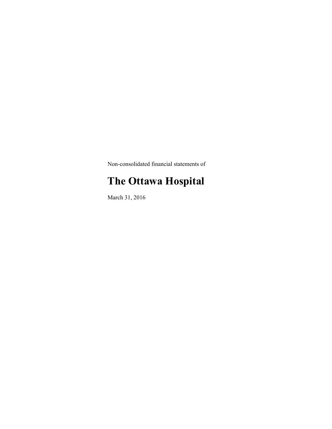Non-consolidated financial statements of

# **The Ottawa Hospital**

March 31, 2016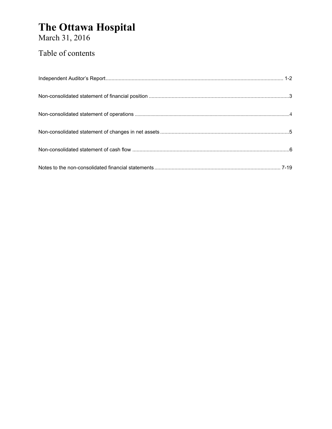<span id="page-1-0"></span>March 31, 2016

### Table of contents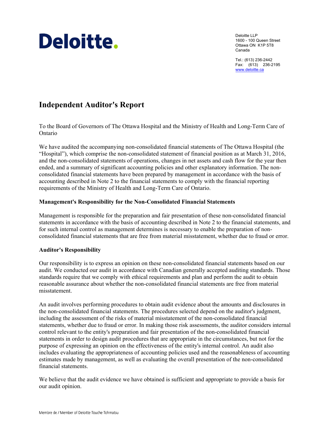# <span id="page-2-0"></span>Deloitte.

 1600 - 100 Queen Street Deloitte LLP Ottawa ON K1P 5T8 Canada

Tel.: (613) 236-2442 Fax: (613) 236-2195 www.deloitte.ca

### **[Independent Auditor's Report](#page-1-0)**

To the Board of Governors of The Ottawa Hospital and the Ministry of Health and Long-Term Care of Ontario

We have audited the accompanying non-consolidated financial statements of The Ottawa Hospital (the "Hospital"), which comprise the non-consolidated statement of financial position as at March 31, 2016, and the non-consolidated statements of operations, changes in net assets and cash flow for the year then ended, and a summary of significant accounting policies and other explanatory information. The nonconsolidated financial statements have been prepared by management in accordance with the basis of accounting described in Note 2 to the financial statements to comply with the financial reporting requirements of the Ministry of Health and Long-Term Care of Ontario.

### **Management's Responsibility for the Non-Consolidated Financial Statements**

Management is responsible for the preparation and fair presentation of these non-consolidated financial statements in accordance with the basis of accounting described in Note 2 to the financial statements, and for such internal control as management determines is necessary to enable the preparation of nonconsolidated financial statements that are free from material misstatement, whether due to fraud or error.

### **Auditor's Responsibility**

Our responsibility is to express an opinion on these non-consolidated financial statements based on our audit. We conducted our audit in accordance with Canadian generally accepted auditing standards. Those standards require that we comply with ethical requirements and plan and perform the audit to obtain reasonable assurance about whether the non-consolidated financial statements are free from material misstatement.

An audit involves performing procedures to obtain audit evidence about the amounts and disclosures in the non-consolidated financial statements. The procedures selected depend on the auditor's judgment, including the assessment of the risks of material misstatement of the non-consolidated financial statements, whether due to fraud or error. In making those risk assessments, the auditor considers internal control relevant to the entity's preparation and fair presentation of the non-consolidated financial statements in order to design audit procedures that are appropriate in the circumstances, but not for the purpose of expressing an opinion on the effectiveness of the entity's internal control. An audit also includes evaluating the appropriateness of accounting policies used and the reasonableness of accounting estimates made by management, as well as evaluating the overall presentation of the non-consolidated financial statements.

We believe that the audit evidence we have obtained is sufficient and appropriate to provide a basis for our audit opinion.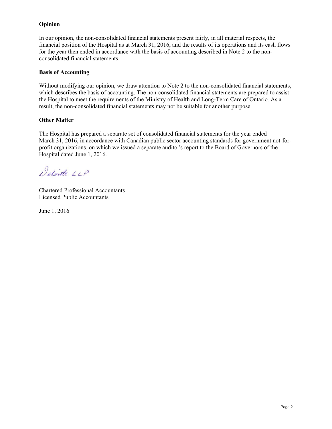### **Opinion**

In our opinion, the non-consolidated financial statements present fairly, in all material respects, the financial position of the Hospital as at March 31, 2016, and the results of its operations and its cash flows for the year then ended in accordance with the basis of accounting described in Note 2 to the nonconsolidated financial statements.

### **Basis of Accounting**

 result, the non-consolidated financial statements may not be suitable for another purpose. Without modifying our opinion, we draw attention to Note 2 to the non-consolidated financial statements, which describes the basis of accounting. The non-consolidated financial statements are prepared to assist the Hospital to meet the requirements of the Ministry of Health and Long-Term Care of Ontario. As a

### **Other Matter**

The Hospital has prepared a separate set of consolidated financial statements for the year ended March 31, 2016, in accordance with Canadian public sector accounting standards for government not-forprofit organizations, on which we issued a separate auditor's report to the Board of Governors of the Hospital dated June 1, 2016.

Detoitte LLP

Chartered Professional Accountants Licensed Public Accountants

June 1, 2016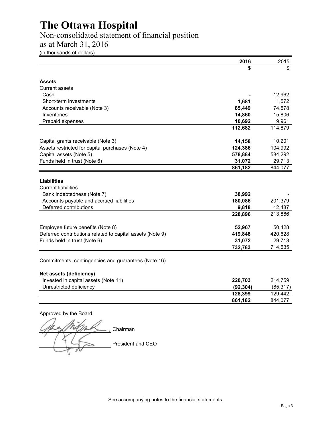### <span id="page-4-0"></span>[Non-consolidated statement of financial position](#page-1-0)

### as at March 31, 2016

(in thousands of dollars)

|                                                           | 2016      | 2015      |
|-----------------------------------------------------------|-----------|-----------|
|                                                           |           | \$        |
| <b>Assets</b>                                             |           |           |
| Current assets                                            |           |           |
| Cash                                                      |           | 12,962    |
| Short-term investments                                    | 1,681     | 1,572     |
| Accounts receivable (Note 3)                              | 85,449    | 74,578    |
| Inventories                                               | 14,860    | 15,806    |
| Prepaid expenses                                          | 10,692    | 9,961     |
|                                                           | 112,682   | 114,879   |
| Capital grants receivable (Note 3)                        | 14,158    | 10,201    |
| Assets restricted for capital purchases (Note 4)          | 124,386   | 104,992   |
| Capital assets (Note 5)                                   | 578,884   | 584,292   |
| Funds held in trust (Note 6)                              | 31,072    | 29,713    |
|                                                           | 861,182   | 844,077   |
| Liabilities                                               |           |           |
| <b>Current liabilities</b>                                |           |           |
| Bank indebtedness (Note 7)                                | 38,992    |           |
| Accounts payable and accrued liabilities                  | 180,086   | 201,379   |
| Deferred contributions                                    | 9,818     | 12,487    |
|                                                           | 228,896   | 213,866   |
| Employee future benefits (Note 8)                         | 52,967    | 50,428    |
| Deferred contributions related to capital assets (Note 9) | 419,848   | 420,628   |
| Funds held in trust (Note 6)                              | 31,072    | 29,713    |
|                                                           | 732,783   | 714,635   |
| Commitments, contingencies and guarantees (Note 16)       |           |           |
| Net assets (deficiency)                                   |           |           |
| Invested in capital assets (Note 11)                      | 220,703   | 214,759   |
| Unrestricted deficiency                                   | (92, 304) | (85, 317) |
|                                                           | 128,399   | 129,442   |
|                                                           | 861,182   | 844,077   |

Approved by the Board

 $\overline{\phantom{a}}$ Chairman President and CEO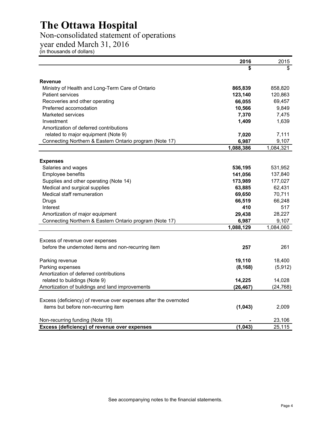### <span id="page-5-0"></span>[Non-consolidated statement of operations](#page-1-0)

year ended March 31, 2016

(in thousands of dollars)

|                                                                  | 2016      | 2015      |
|------------------------------------------------------------------|-----------|-----------|
|                                                                  |           | \$        |
| <b>Revenue</b>                                                   |           |           |
| Ministry of Health and Long-Term Care of Ontario                 | 865,839   | 858,820   |
| <b>Patient services</b>                                          | 123,140   | 120,863   |
| Recoveries and other operating                                   | 66,055    | 69,457    |
| Preferred accomodation                                           | 10,566    | 9,849     |
| <b>Marketed services</b>                                         | 7,370     | 7,475     |
| Investment                                                       | 1,409     | 1,639     |
| Amortization of deferred contributions                           |           |           |
| related to major equipment (Note 9)                              | 7,020     | 7,111     |
| Connecting Northern & Eastern Ontario program (Note 17)          | 6,987     | 9,107     |
|                                                                  | 1,088,386 | 1,084,321 |
|                                                                  |           |           |
| <b>Expenses</b><br>Salaries and wages                            | 536,195   | 531,952   |
| Employee benefits                                                | 141,056   | 137,840   |
| Supplies and other operating (Note 14)                           | 173,989   | 177,027   |
| Medical and surgical supplies                                    | 63,885    | 62,431    |
| Medical staff remuneration                                       | 69,650    | 70,711    |
| Drugs                                                            | 66,519    | 66,248    |
| Interest                                                         | 410       | 517       |
| Amortization of major equipment                                  | 29,438    | 28,227    |
| Connecting Northern & Eastern Ontario program (Note 17)          | 6,987     | 9,107     |
|                                                                  | 1,088,129 | 1,084,060 |
|                                                                  |           |           |
| Excess of revenue over expenses                                  |           |           |
| before the undernoted items and non-recurring item               | 257       | 261       |
| Parking revenue                                                  | 19,110    | 18,400    |
| Parking expenses                                                 | (8, 168)  | (5, 912)  |
| Amortization of deferred contributions                           |           |           |
| related to buildings (Note 9)                                    | 14,225    | 14,028    |
| Amortization of buildings and land improvements                  | (26, 467) | (24, 768) |
|                                                                  |           |           |
| Excess (deficiency) of revenue over expenses after the overnoted |           |           |
| items but before non-recurring item                              | (1,043)   | 2,009     |
| Non-recurring funding (Note 19)                                  |           | 23,106    |
| Excess (deficiency) of revenue over expenses                     | (1,043)   | 25,115    |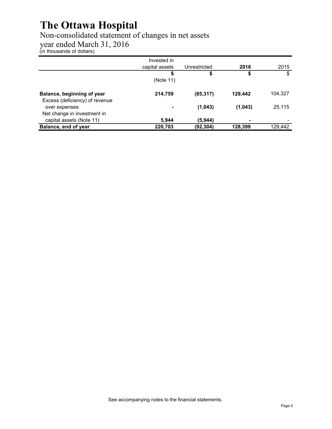### <span id="page-6-0"></span>[Non-consolidated statement of changes in net assets](#page-1-0)

year ended March 31, 2016

(in thousands of dollars)

|                                                              | Invested in    |              |         |         |
|--------------------------------------------------------------|----------------|--------------|---------|---------|
|                                                              | capital assets | Unrestricted | 2016    | 2015    |
|                                                              | S              | \$           | \$      | \$      |
|                                                              | (Note 11)      |              |         |         |
| Balance, beginning of year<br>Excess (deficiency) of revenue | 214,759        | (85, 317)    | 129.442 | 104.327 |
| over expenses<br>Net change in investment in                 | $\blacksquare$ | (1,043)      | (1,043) | 25,115  |
| capital assets (Note 11)                                     | 5,944          | (5,944)      | ٠       |         |
| Balance, end of year                                         | 220,703        | (92, 304)    | 128.399 | 129,442 |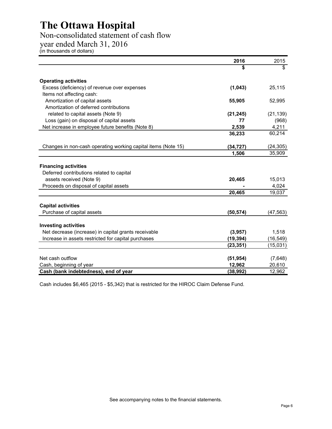### <span id="page-7-0"></span>[Non-consolidated statement of cash flow](#page-1-0)

year ended March 31, 2016

(in thousands of dollars)

|                                                                          | 2016      | 2015      |
|--------------------------------------------------------------------------|-----------|-----------|
|                                                                          | \$        | \$        |
| <b>Operating activities</b>                                              |           |           |
| Excess (deficiency) of revenue over expenses                             | (1,043)   | 25,115    |
| Items not affecting cash:                                                |           |           |
| Amortization of capital assets                                           | 55,905    | 52,995    |
| Amortization of deferred contributions                                   |           |           |
| related to capital assets (Note 9)                                       | (21, 245) | (21, 139) |
| Loss (gain) on disposal of capital assets                                | 77        | (968)     |
| Net increase in employee future benefits (Note 8)                        | 2,539     | 4,211     |
|                                                                          | 36,233    | 60,214    |
| Changes in non-cash operating working capital items (Note 15)            | (34, 727) | (24, 305) |
|                                                                          | 1,506     | 35,909    |
| <b>Financing activities</b><br>Deferred contributions related to capital |           |           |
| assets received (Note 9)                                                 | 20,465    | 15,013    |
| Proceeds on disposal of capital assets                                   |           | 4,024     |
|                                                                          | 20,465    | 19,037    |
| <b>Capital activities</b>                                                |           |           |
| Purchase of capital assets                                               | (50, 574) | (47, 563) |
| <b>Investing activities</b>                                              |           |           |
| Net decrease (increase) in capital grants receivable                     | (3,957)   | 1,518     |
| Increase in assets restricted for capital purchases                      | (19, 394) | (16, 549) |
|                                                                          | (23, 351) | (15,031)  |
| Net cash outflow                                                         | (51, 954) | (7,648)   |
| Cash, beginning of year                                                  | 12,962    | 20,610    |
| Cash (bank indebtedness), end of year                                    | (38, 992) | 12,962    |

Cash includes \$6,465 (2015 - \$5,342) that is restricted for the HIROC Claim Defense Fund.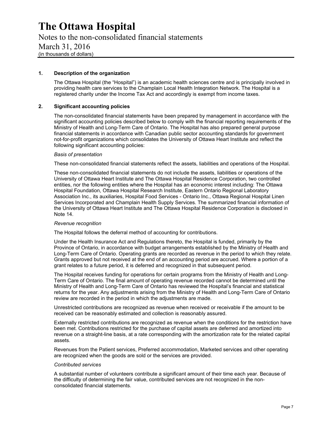<span id="page-8-0"></span>[Notes to the non-consolidated financial statements](#page-1-0)  March 31, 2016 (in thousands of dollars)

### **1. Description of the organization**

The Ottawa Hospital (the "Hospital") is an academic health sciences centre and is principally involved in providing health care services to the Champlain Local Health Integration Network. The Hospital is a registered charity under the Income Tax Act and accordingly is exempt from income taxes.

### **2. Significant accounting policies**

The non-consolidated financial statements have been prepared by management in accordance with the significant accounting policies described below to comply with the financial reporting requirements of the Ministry of Health and Long-Term Care of Ontario. The Hospital has also prepared general purpose financial statements in accordance with Canadian public sector accounting standards for government not-for-profit organizations which consolidates the University of Ottawa Heart Institute and reflect the following significant accounting policies:

### *Basis of presentation*

These non-consolidated financial statements reflect the assets, liabilities and operations of the Hospital.

These non-consolidated financial statements do not include the assets, liabilities or operations of the University of Ottawa Heart Institute and The Ottawa Hospital Residence Corporation, two controlled entities, nor the following entities where the Hospital has an economic interest including: The Ottawa Hospital Foundation, Ottawa Hospital Research Institute, Eastern Ontario Regional Laboratory Association Inc., its auxiliaries, Hospital Food Services - Ontario Inc., Ottawa Regional Hospital Linen Services Incorporated and Champlain Health Supply Services. The summarized financial information of the University of Ottawa Heart Institute and The Ottawa Hospital Residence Corporation is disclosed in Note 14.

### *Revenue recognition*

The Hospital follows the deferral method of accounting for contributions.

Under the Health Insurance Act and Regulations thereto, the Hospital is funded, primarily by the Province of Ontario, in accordance with budget arrangements established by the Ministry of Health and Long-Term Care of Ontario. Operating grants are recorded as revenue in the period to which they relate. Grants approved but not received at the end of an accounting period are accrued. Where a portion of a grant relates to a future period, it is deferred and recognized in that subsequent period.

The Hospital receives funding for operations for certain programs from the Ministry of Health and Long-Term Care of Ontario. The final amount of operating revenue recorded cannot be determined until the Ministry of Health and Long-Term Care of Ontario has reviewed the Hospital's financial and statistical returns for the year. Any adjustments arising from the Ministry of Health and Long-Term Care of Ontario review are recorded in the period in which the adjustments are made.

Unrestricted contributions are recognized as revenue when received or receivable if the amount to be received can be reasonably estimated and collection is reasonably assured.

Externally restricted contributions are recognized as revenue when the conditions for the restriction have been met. Contributions restricted for the purchase of capital assets are deferred and amortized into revenue on a straight-line basis, at a rate corresponding with the amortization rate for the related capital assets.

Revenues from the Patient services, Preferred accommodation, Marketed services and other operating are recognized when the goods are sold or the services are provided.

### *Contributed services*

A substantial number of volunteers contribute a significant amount of their time each year. Because of the difficulty of determining the fair value, contributed services are not recognized in the nonconsolidated financial statements.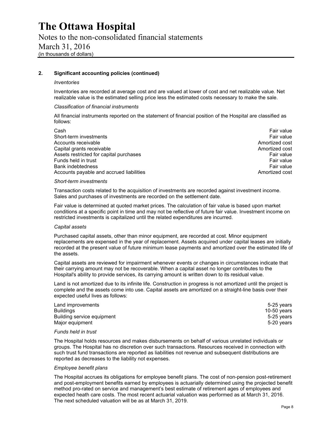Notes to the non-consolidated financial statements March 31, 2016 (in thousands of dollars)

### **2. Significant accounting policies (continued)**

#### *Inventories*

Inventories are recorded at average cost and are valued at lower of cost and net realizable value. Net realizable value is the estimated selling price less the estimated costs necessary to make the sale.

#### *Classification of financial instruments*

All financial instruments reported on the statement of financial position of the Hospital are classified as follows:

| Cash                                     | Fair value     |
|------------------------------------------|----------------|
| Short-term investments                   | Fair value     |
| Accounts receivable                      | Amortized cost |
| Capital grants receivable                | Amortized cost |
| Assets restricted for capital purchases  | Fair value     |
| Funds held in trust                      | Fair value     |
| Bank indebtedness                        | Fair value     |
| Accounts payable and accrued liabilities | Amortized cost |

#### *Short-term investments*

Transaction costs related to the acquisition of investments are recorded against investment income. Sales and purchases of investments are recorded on the settlement date.

Fair value is determined at quoted market prices. The calculation of fair value is based upon market conditions at a specific point in time and may not be reflective of future fair value. Investment income on restricted investments is capitalized until the related expenditures are incurred.

#### *Capital assets*

Purchased capital assets, other than minor equipment, are recorded at cost. Minor equipment replacements are expensed in the year of replacement. Assets acquired under capital leases are initially recorded at the present value of future minimum lease payments and amortized over the estimated life of the assets.

Capital assets are reviewed for impairment whenever events or changes in circumstances indicate that their carrying amount may not be recoverable. When a capital asset no longer contributes to the Hospital's ability to provide services, its carrying amount is written down to its residual value.

Land is not amortized due to its infinite life. Construction in progress is not amortized until the project is complete and the assets come into use. Capital assets are amortized on a straight-line basis over their expected useful lives as follows:

| Land improvements          | 5-25 years    |
|----------------------------|---------------|
| <b>Buildings</b>           | 10-50 $years$ |
| Building service equipment | 5-25 years    |
| Major equipment            | 5-20 years    |

### *Funds held in trust*

The Hospital holds resources and makes disbursements on behalf of various unrelated individuals or groups. The Hospital has no discretion over such transactions. Resources received in connection with such trust fund transactions are reported as liabilities not revenue and subsequent distributions are reported as decreases to the liability not expenses.

### *Employee benefit plans*

The Hospital accrues its obligations for employee benefit plans. The cost of non-pension post-retirement and post-employment benefits earned by employees is actuarially determined using the projected benefit method pro-rated on service and management's best estimate of retirement ages of employees and expected heath care costs. The most recent actuarial valuation was performed as at March 31, 2016. The next scheduled valuation will be as at March 31, 2019.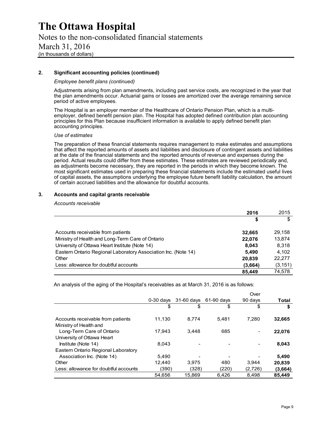### Notes to the non-consolidated financial statements March 31, 2016 (in thousands of dollars)

### **2. Significant accounting policies (continued)**

#### *Employee benefit plans (continued)*

Adjustments arising from plan amendments, including past service costs, are recognized in the year that the plan amendments occur. Actuarial gains or losses are amortized over the average remaining service period of active employees.

The Hospital is an employer member of the Healthcare of Ontario Pension Plan, which is a multiemployer, defined benefit pension plan. The Hospital has adopted defined contribution plan accounting principles for this Plan because insufficient information is available to apply defined benefit plan accounting principles.

#### *Use of estimates*

The preparation of these financial statements requires management to make estimates and assumptions that affect the reported amounts of assets and liabilities and disclosure of contingent assets and liabilities at the date of the financial statements and the reported amounts of revenue and expenses during the period. Actual results could differ from these estimates. These estimates are reviewed periodically and, as adjustments become necessary, they are reported in the periods in which they become known. The most significant estimates used in preparing these financial statements include the estimated useful lives of capital assets, the assumptions underlying the employee future benefit liability calculation, the amount of certain accrued liabilities and the allowance for doubtful accounts.

### **3. Accounts and capital grants receivable**

#### *Accounts receivable*

|                                                                | 2016    | 2015     |
|----------------------------------------------------------------|---------|----------|
|                                                                | \$      | \$       |
| Accounts receivable from patients                              | 32.665  | 29.158   |
| Ministry of Health and Long-Term Care of Ontario               | 22,076  | 13,874   |
| University of Ottawa Heart Institute (Note 14)                 | 8,043   | 8,318    |
| Eastern Ontario Regional Laboratory Association Inc. (Note 14) | 5.490   | 4,102    |
| Other                                                          | 20,839  | 22.277   |
| Less: allowance for doubtful accounts                          | (3,664) | (3, 151) |
|                                                                | 85.449  | 74.578   |

An analysis of the aging of the Hospital's receivables as at March 31, 2016 is as follows:

|                                                             |             |              |            | Over    |         |
|-------------------------------------------------------------|-------------|--------------|------------|---------|---------|
|                                                             | $0-30$ days | $31-60$ days | 61-90 davs | 90 days | Total   |
|                                                             | \$          | \$           | \$         | \$      | \$      |
| Accounts receivable from patients<br>Ministry of Health and | 11,130      | 8.774        | 5.481      | 7.280   | 32,665  |
| Long-Term Care of Ontario<br>University of Ottawa Heart     | 17.943      | 3.448        | 685        |         | 22,076  |
| Institute (Note 14)<br>Eastern Ontario Regional Laboratory  | 8.043       |              |            |         | 8,043   |
| Association Inc. (Note 14)                                  | 5.490       |              |            |         | 5,490   |
| Other                                                       | 12.440      | 3.975        | 480        | 3.944   | 20,839  |
| Less: allowance for doubtful accounts                       | (390)       | (328)        | (220)      | (2,726) | (3,664) |
|                                                             | 54.656      | 15,869       | 6.426      | 8,498   | 85.449  |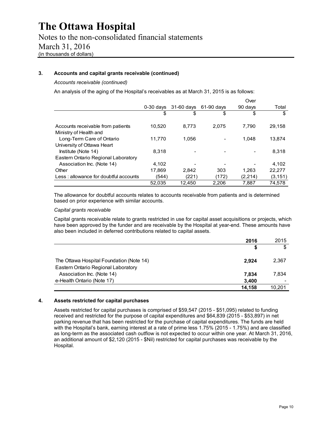### **3. Accounts and capital grants receivable (continued)**

*Accounts receivable (continued)* 

An analysis of the aging of the Hospital's receivables as at March 31, 2015 is as follows:

|                                                             |             |              |            | Over    |          |
|-------------------------------------------------------------|-------------|--------------|------------|---------|----------|
|                                                             | $0-30$ days | $31-60$ days | 61-90 days | 90 days | Total    |
|                                                             | \$          | \$           | \$         | \$      | \$       |
| Accounts receivable from patients<br>Ministry of Health and | 10.520      | 8.773        | 2.075      | 7.790   | 29,158   |
| Long-Term Care of Ontario                                   | 11.770      | 1.056        |            | 1.048   | 13.874   |
| University of Ottawa Heart                                  |             |              |            |         |          |
| Institute (Note 14)                                         | 8.318       |              |            |         | 8,318    |
| Eastern Ontario Regional Laboratory                         |             |              |            |         |          |
| Association Inc. (Note 14)                                  | 4,102       |              |            |         | 4.102    |
| Other                                                       | 17,869      | 2,842        | 303        | 1.263   | 22,277   |
| Less: allowance for doubtful accounts                       | (544)       | (221)        | (172)      | (2,214) | (3, 151) |
|                                                             | 52,035      | 12.450       | 2.206      | 7.887   | 74.578   |

The allowance for doubtful accounts relates to accounts receivable from patients and is determined based on prior experience with similar accounts.

### *Capital grants receivable*

Capital grants receivable relate to grants restricted in use for capital asset acquisitions or projects, which have been approved by the funder and are receivable by the Hospital at year-end. These amounts have also been included in deferred contributions related to capital assets.

|                                                                                 | 2016   | 2015   |
|---------------------------------------------------------------------------------|--------|--------|
|                                                                                 | S      | \$     |
| The Ottawa Hospital Foundation (Note 14)<br>Eastern Ontario Regional Laboratory | 2.924  | 2,367  |
| Association Inc. (Note 14)                                                      | 7,834  | 7,834  |
| e-Health Ontario (Note 17)                                                      | 3,400  |        |
|                                                                                 | 14.158 | 10.201 |

### **4. Assets restricted for capital purchases**

Assets restricted for capital purchases is comprised of \$59,547 (2015 - \$51,095) related to funding received and restricted for the purpose of capital expenditures and \$64,839 (2015 - \$53,897) in net parking revenue that has been restricted for the purchase of capital expenditures. The funds are held with the Hospital's bank, earning interest at a rate of prime less 1.75% (2015 - 1.75%) and are classified as long-term as the associated cash outflow is not expected to occur within one year. At March 31, 2016, an additional amount of \$2,120 (2015 - \$Nil) restricted for capital purchases was receivable by the Hospital.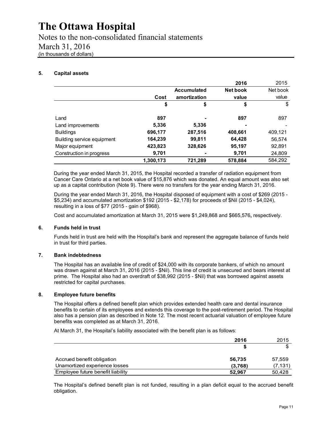Notes to the non-consolidated financial statements March 31, 2016 (in thousands of dollars)

### **5. Capital assets**

|                            |           |                    | 2016     | 2015     |
|----------------------------|-----------|--------------------|----------|----------|
|                            |           | <b>Accumulated</b> | Net book | Net book |
|                            | Cost      | amortization       | value    | value    |
|                            | \$        | \$                 | \$       | \$       |
| Land                       | 897       |                    | 897      | 897      |
| Land improvements          | 5,336     | 5,336              |          |          |
| <b>Buildings</b>           | 696,177   | 287,516            | 408,661  | 409,121  |
| Building service equipment | 164,239   | 99,811             | 64,428   | 56,574   |
| Major equipment            | 423,823   | 328,626            | 95,197   | 92,891   |
| Construction in progress   | 9,701     |                    | 9,701    | 24,809   |
|                            | 1,300,173 | 721,289            | 578,884  | 584.292  |

During the year ended March 31, 2015, the Hospital recorded a transfer of radiation equipment from Cancer Care Ontario at a net book value of \$15,876 which was donated. An equal amount was also set up as a capital contribution (Note 9). There were no transfers for the year ending March 31, 2016.

During the year ended March 31, 2016, the Hospital disposed of equipment with a cost of \$269 (2015 - \$5,234) and accumulated amortization \$192 (2015 - \$2,178) for proceeds of \$Nil (2015 - \$4,024), resulting in a loss of \$77 (2015 - gain of \$968).

Cost and accumulated amortization at March 31, 2015 were \$1,249,868 and \$665,576**,** respectively.

### **6. Funds held in trust**

Funds held in trust are held with the Hospital's bank and represent the aggregate balance of funds held in trust for third parties.

### **7. Bank indebtedness**

The Hospital has an available line of credit of \$24,000 with its corporate bankers, of which no amount was drawn against at March 31, 2016 (2015 - \$Nil). This line of credit is unsecured and bears interest at prime. The Hospital also had an overdraft of \$38,992 (2015 - \$Nil) that was borrowed against assets restricted for capital purchases.

### **8. Employee future benefits**

The Hospital offers a defined benefit plan which provides extended health care and dental insurance benefits to certain of its employees and extends this coverage to the post-retirement period. The Hospital also has a pension plan as described in Note 12. The most recent actuarial valuation of employee future benefits was completed as at March 31, 2016.

At March 31, the Hospital's liability associated with the benefit plan is as follows:

|                                   | 2016    | 2015     |
|-----------------------------------|---------|----------|
|                                   | S       |          |
| Accrued benefit obligation        | 56.735  | 57,559   |
| Unamortized experience losses     | (3,768) | (7, 131) |
| Employee future benefit liability | 52.967  | 50,428   |

 The Hospital's defined benefit plan is not funded, resulting in a plan deficit equal to the accrued benefit obligation.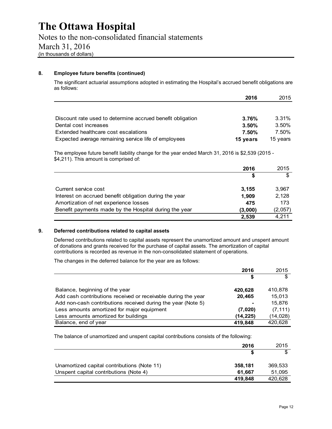### **8. Employee future benefits (continued)**

The significant actuarial assumptions adopted in estimating the Hospital's accrued benefit obligations are as follows:

|                                                            | 2016     | 2015     |
|------------------------------------------------------------|----------|----------|
|                                                            |          |          |
| Discount rate used to determine accrued benefit obligation | 3.76%    | 3.31%    |
| Dental cost increases                                      | $3.50\%$ | 3.50%    |
| Extended healthcare cost escalations                       | 7.50%    | 7.50%    |
| Expected average remaining service life of employees       | 15 years | 15 years |

The employee future benefit liability change for the year ended March 31, 2016 is \$2,539 (2015 - \$4,211). This amount is comprised of:

|                                                        | 2016    | 2015    |
|--------------------------------------------------------|---------|---------|
|                                                        | \$      |         |
| Current service cost                                   | 3,155   | 3,967   |
| Interest on accrued benefit obligation during the year | 1.909   | 2,128   |
| Amortization of net experience losses                  | 475     | 173     |
| Benefit payments made by the Hospital during the year  | (3.000) | (2,057) |
|                                                        | 2,539   | 4.211   |

### **9. Deferred contributions related to capital assets**

Deferred contributions related to capital assets represent the unamortized amount and unspent amount of donations and grants received for the purchase of capital assets. The amortization of capital contributions is recorded as revenue in the non-consolidated statement of operations.

The changes in the deferred balance for the year are as follows:

|                                                               | 2016      | 2015      |
|---------------------------------------------------------------|-----------|-----------|
|                                                               | \$        | \$        |
| Balance, beginning of the year                                | 420,628   | 410,878   |
| Add cash contributions received or receivable during the year | 20.465    | 15.013    |
| Add non-cash contributions received during the year (Note 5)  | -         | 15,876    |
| Less amounts amortized for major equipment                    | (7,020)   | (7, 111)  |
| Less amounts amortized for buildings                          | (14, 225) | (14, 028) |
| Balance, end of year                                          | 419.848   | 420.628   |

The balance of unamortized and unspent capital contributions consists of the following:

| 2016                                                   | 2015    |
|--------------------------------------------------------|---------|
|                                                        |         |
| Unamortized capital contributions (Note 11)<br>358,181 | 369,533 |
| Unspent capital contributions (Note 4)<br>61.667       | 51,095  |
| 419,848                                                | 420,628 |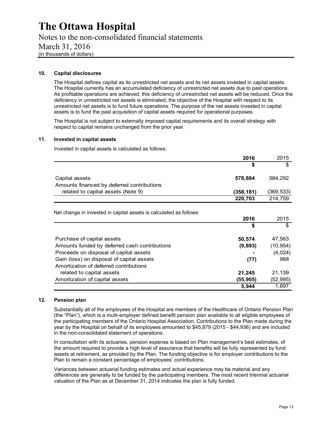Notes to the non-consolidated financial statements March 31, 2016 (in thousands of dollars)

### **10. Capital disclosures**

The Hospital defines capital as its unrestricted net assets and its net assets invested in capital assets. The Hospital currently has an accumulated deficiency of unrestricted net assets due to past operations. As profitable operations are achieved, this deficiency of unrestricted net assets will be reduced. Once the deficiency in unrestricted net assets is eliminated, the objective of the Hospital with respect to its unrestricted net assets is to fund future operations. The purpose of the net assets invested in capital assets is to fund the past acquisition of capital assets required for operational purposes.

The Hospital is not subject to externally imposed capital requirements and its overall strategy with respect to capital remains unchanged from the prior year.

### **11. Invested in capital assets**

Invested in capital assets is calculated as follows:

|                                                                    | 2016      | 2015      |
|--------------------------------------------------------------------|-----------|-----------|
|                                                                    | \$        | \$        |
| Capital assets                                                     | 578,884   | 584,292   |
| Amounts financed by deferred contributions                         |           |           |
| related to capital assets (Note 9)                                 | (358,181) | (369,533) |
|                                                                    | 220,703   | 214,759   |
|                                                                    |           |           |
| Net change in invested in capital assets is calculated as follows: |           |           |
|                                                                    | 2016      | 2015      |
|                                                                    | \$        | \$        |
| Purchase of capital assets                                         | 50,574    | 47,563    |
| Amounts funded by deferred cash contributions                      | (9,893)   | (10, 954) |
| Proceeds on disposal of capital assets                             |           | (4,024)   |
| Gain (loss) on disposal of capital assets                          | (77)      | 968       |
| Amortization of deferred contributions                             |           |           |
| related to capital assets                                          | 21,245    | 21,139    |
| Amortization of capital assets                                     | (55,905)  | (52, 995) |
|                                                                    | 5,944     | 1,697     |

### **12. Pension plan**

Substantially all of the employees of the Hospital are members of the Healthcare of Ontario Pension Plan (the "Plan"), which is a multi-employer defined benefit pension plan available to all eligible employees of the participating members of the Ontario Hospital Association. Contributions to the Plan made during the year by the Hospital on behalf of its employees amounted to \$45,879 (2015 - \$44,936) and are included in the non-consolidated statement of operations.

In consultation with its actuaries, pension expense is based on Plan management's best estimates, of the amount required to provide a high level of assurance that benefits will be fully represented by fund assets at retirement, as provided by the Plan. The funding objective is for employer contributions to the Plan to remain a constant percentage of employees' contributions.

Variances between actuarial funding estimates and actual experience may be material and any differences are generally to be funded by the participating members. The most recent triennial actuarial valuation of the Plan as at December 31, 2014 indicates the plan is fully funded.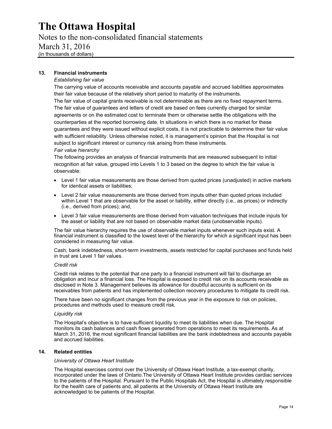Notes to the non-consolidated financial statements

### March 31, 2016

(in thousands of dollars)

### **13. Financial instruments**

### *Establishing fair value*

The carrying value of accounts receivable and accounts payable and accrued liabilities approximates their fair value because of the relatively short period to maturity of the instruments. The fair value of capital grants receivable is not determinable as there are no fixed repayment terms.

The fair value of guarantees and letters of credit are based on fees currently charged for similar agreements or on the estimated cost to terminate them or otherwise settle the obligations with the counterparties at the reported borrowing date. In situations in which there is no market for these guarantees and they were issued without explicit costs, it is not practicable to determine their fair value with sufficient reliability. Unless otherwise noted, it is management's opinion that the Hospital is not subject to significant interest or currency risk arising from these instruments.

### *Fair value hierarchy*

The following provides an analysis of financial instruments that are measured subsequent to initial recognition at fair value, grouped into Levels 1 to 3 based on the degree to which the fair value is observable:

- Level 1 fair value measurements are those derived from quoted prices (unadjusted) in active markets for identical assets or liabilities;
- Level 2 fair value measurements are those derived from inputs other than quoted prices included within Level 1 that are observable for the asset or liability, either directly (i.e., as prices) or indirectly (i.e., derived from prices); and,
- Level 3 fair value measurements are those derived from valuation techniques that include inputs for the asset or liability that are not based on observable market data (unobservable inputs).

The fair value hierarchy requires the use of observable market inputs whenever such inputs exist. A financial instrument is classified to the lowest level of the hierarchy for which a significant input has been considered in measuring fair value.

Cash, bank indebtedness, short-term investments, assets restricted for capital purchases and funds held in trust are Level 1 fair values.

### *Credit risk*

Credit risk relates to the potential that one party to a financial instrument will fail to discharge an obligation and incur a financial loss. The Hospital is exposed to credit risk on its accounts receivable as disclosed in Note 3. Management believes its allowance for doubtful accounts is sufficient on its receivables from patients and has implemented collection recovery procedures to mitigate its credit risk.

There have been no significant changes from the previous year in the exposure to risk on policies, procedures and methods used to measure credit risk.

### *Liquidity risk*

The Hospital's objective is to have sufficient liquidity to meet its liabilities when due. The Hospital monitors its cash balances and cash flows generated from operations to meet its requirements. As at March 31, 2016, the most significant financial liabilities are the bank indebtedness and accounts payable and accrued liabilities.

### **14. Related entities**

### *University of Ottawa Heart Institute*

The Hospital exercises control over the University of Ottawa Heart Institute, a tax-exempt charity, incorporated under the laws of Ontario.The University of Ottawa Heart Institute provides cardiac services to the patients of the Hospital. Pursuant to the Public Hospitals Act, the Hospital is ultimately responsible for the health care of patients and, all patients at the University of Ottawa Heart Institute are acknowledged to be patients of the Hospital.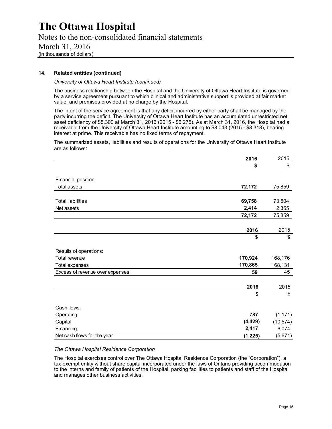### Notes to the non-consolidated financial statements March 31, 2016 (in thousands of dollars)

### **14. Related entities (continued)**

### *University of Ottawa Heart Institute (continued)*

The business relationship between the Hospital and the University of Ottawa Heart Institute is governed by a service agreement pursuant to which clinical and administrative support is provided at fair market value, and premises provided at no charge by the Hospital.

The intent of the service agreement is that any deficit incurred by either party shall be managed by the party incurring the deficit. The University of Ottawa Heart Institute has an accumulated unrestricted net asset deficiency of \$5,300 at March 31, 2016 (2015 - \$6,275). As at March 31, 2016, the Hospital had a receivable from the University of Ottawa Heart Institute amounting to \$8,043 (2015 - \$8,318), bearing interest at prime. This receivable has no fixed terms of repayment.

The summarized assets, liabilities and results of operations for the University of Ottawa Heart Institute are as follows:

|                                 | 2016     | 2015      |
|---------------------------------|----------|-----------|
|                                 | \$       | \$        |
| Financial position:             |          |           |
| <b>Total assets</b>             | 72,172   | 75,859    |
|                                 |          |           |
| <b>Total liabilities</b>        | 69,758   | 73,504    |
| Net assets                      | 2,414    | 2,355     |
|                                 | 72,172   | 75,859    |
|                                 |          |           |
|                                 | 2016     | 2015      |
|                                 | \$       | \$        |
| Results of operations:          |          |           |
| Total revenue                   | 170,924  | 168,176   |
| Total expenses                  | 170,865  | 168,131   |
| Excess of revenue over expenses | 59       | 45        |
|                                 | 2016     | 2015      |
|                                 | \$       | \$        |
| Cash flows:                     |          |           |
| Operating                       | 787      | (1, 171)  |
| Capital                         | (4, 429) | (10, 574) |
| Financing                       | 2,417    | 6,074     |
| Net cash flows for the year     | (1,225)  | (5,671)   |
|                                 |          |           |

### *The Ottawa Hospital Residence Corporation*

The Hospital exercises control over The Ottawa Hospital Residence Corporation (the "Corporation"), a tax-exempt entity without share capital incorporated under the laws of Ontario providing accommodation to the interns and family of patients of the Hospital, parking facilities to patients and staff of the Hospital and manages other business activities.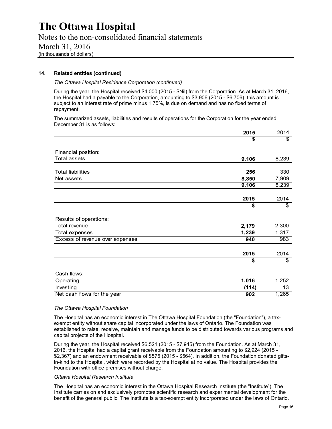Notes to the non-consolidated financial statements March 31, 2016 (in thousands of dollars)

### **14. Related entities (continued)**

*The Ottawa Hospital Residence Corporation (continued)* 

During the year, the Hospital received \$4,000 (2015 - \$Nil) from the Corporation. As at March 31, 2016, the Hospital had a payable to the Corporation, amounting to \$3,906 (2015 - \$6,706), this amount is subject to an interest rate of prime minus 1.75%, is due on demand and has no fixed terms of repayment.

The summarized assets, liabilities and results of operations for the Corporation for the year ended December 31 is as follows:

|                                 | 2015  | 2014  |
|---------------------------------|-------|-------|
|                                 | \$    | \$    |
|                                 |       |       |
| Financial position:             |       |       |
| <b>Total assets</b>             | 9,106 | 8,239 |
| <b>Total liabilities</b>        | 256   | 330   |
|                                 |       |       |
| Net assets                      | 8,850 | 7,909 |
|                                 | 9,106 | 8,239 |
|                                 |       |       |
|                                 | 2015  | 2014  |
|                                 | \$    | \$    |
| Results of operations:          |       |       |
| Total revenue                   | 2,179 | 2,300 |
| Total expenses                  | 1,239 | 1,317 |
| Excess of revenue over expenses | 940   | 983   |
|                                 |       |       |
|                                 | 2015  | 2014  |
|                                 | \$    | \$    |
| Cash flows:                     |       |       |
| Operating                       | 1,016 | 1,252 |
| Investing                       | (114) | 13    |
| Net cash flows for the year     | 902   | 1,265 |

### *The Ottawa Hospital Foundation*

The Hospital has an economic interest in The Ottawa Hospital Foundation (the "Foundation"), a taxexempt entity without share capital incorporated under the laws of Ontario. The Foundation was established to raise, receive, maintain and manage funds to be distributed towards various programs and capital projects of the Hospital.

During the year, the Hospital received \$6,521 (2015 - \$7,945) from the Foundation. As at March 31, 2016, the Hospital had a capital grant receivable from the Foundation amounting to \$2,924 (2015 - \$2,367) and an endowment receivable of \$575 (2015 - \$564). In addition, the Foundation donated giftsin-kind to the Hospital, which were recorded by the Hospital at no value. The Hospital provides the Foundation with office premises without charge.

### *Ottawa Hospital Research Institute*

The Hospital has an economic interest in the Ottawa Hospital Research Institute (the "Institute"). The Institute carries on and exclusively promotes scientific research and experimental development for the benefit of the general public. The Institute is a tax-exempt entity incorporated under the laws of Ontario.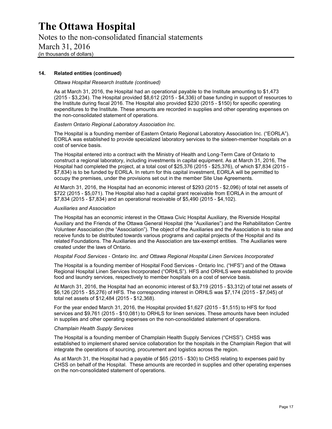Notes to the non-consolidated financial statements March 31, 2016 (in thousands of dollars)

### **14. Related entities (continued)**

### *Ottawa Hospital Research Institute (continued)*

As at March 31, 2016, the Hospital had an operational payable to the Institute amounting to \$1,473 (2015 - \$3,234). The Hospital provided \$8,612 (2015 - \$4,336) of base funding in support of resources to the Institute during fiscal 2016. The Hospital also provided \$230 (2015 - \$150) for specific operating expenditures to the Institute. These amounts are recorded in supplies and other operating expenses on the non-consolidated statement of operations.

#### *Eastern Ontario Regional Laboratory Association Inc.*

The Hospital is a founding member of Eastern Ontario Regional Laboratory Association Inc. ("EORLA"). EORLA was established to provide specialized laboratory services to the sixteen-member hospitals on a cost of service basis.

The Hospital entered into a contract with the Ministry of Health and Long-Term Care of Ontario to construct a regional laboratory, including investments in capital equipment. As at March 31, 2016, The Hospital had completed the project, at a total cost of \$25,376 (2015 - \$25,376), of which \$7,834 (2015 - \$7,834) is to be funded by EORLA. In return for this capital investment, EORLA will be permitted to occupy the premises, under the provisions set out in the member Site Use Agreements.

At March 31, 2016, the Hospital had an economic interest of \$293 (2015 - \$2,096) of total net assets of \$722 (2015 - \$5,071). The Hospital also had a capital grant receivable from EORLA in the amount of \$7,834 (2015 - \$7,834) and an operational receivable of \$5,490 (2015 - \$4,102).

#### *Auxiliaries and Association*

The Hospital has an economic interest in the Ottawa Civic Hospital Auxiliary, the Riverside Hospital Auxiliary and the Friends of the Ottawa General Hospital (the "Auxiliaries") and the Rehabilitation Centre Volunteer Association (the "Association"). The object of the Auxiliaries and the Association is to raise and receive funds to be distributed towards various programs and capital projects of the Hospital and its related Foundations. The Auxiliaries and the Association are tax-exempt entities. The Auxiliaries were created under the laws of Ontario.

### *Hospital Food Services - Ontario Inc. and Ottawa Regional Hospital Linen Services Incorporated*

The Hospital is a founding member of Hospital Food Services - Ontario Inc. ("HFS") and of the Ottawa Regional Hospital Linen Services Incorporated ("ORHLS"). HFS and ORHLS were established to provide food and laundry services, respectively to member hospitals on a cost of service basis.

At March 31, 2016, the Hospital had an economic interest of \$3,719 (2015 - \$3,312) of total net assets of \$6,126 (2015 - \$5,276) of HFS. The corresponding interest in ORHLS was \$7,174 (2015 - \$7,045) of total net assets of \$12,484 (2015 - \$12,368).

For the year ended March 31, 2016, the Hospital provided \$1,627 (2015 - \$1,515) to HFS for food services and \$9,761 (2015 - \$10,081) to ORHLS for linen services. These amounts have been included in supplies and other operating expenses on the non-consolidated statement of operations.

#### *Champlain Health Supply Services*

The Hospital is a founding member of Champlain Health Supply Services ("CHSS"). CHSS was established to implement shared service collaboration for the hospitals in the Champlain Region that will integrate the operations of sourcing, procurement and logistics across the region.

As at March 31, the Hospital had a payable of \$65 (2015 - \$30) to CHSS relating to expenses paid by CHSS on behalf of the Hospital. These amounts are recorded in supplies and other operating expenses on the non-consolidated statement of operations.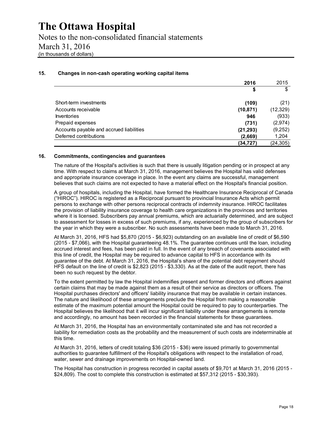Notes to the non-consolidated financial statements March 31, 2016 (in thousands of dollars)

### **15. Changes in non-cash operating working capital items**

|                                          | 2016      | 2015      |
|------------------------------------------|-----------|-----------|
|                                          | \$        | \$        |
| Short-term investments                   | (109)     | (21)      |
| Accounts receivable                      | (10, 871) | (12, 329) |
| <b>Inventories</b>                       | 946       | (933)     |
| Prepaid expenses                         | (731)     | (2,974)   |
| Accounts payable and accrued liabilities | (21, 293) | (9,252)   |
| Deferred contributions                   | (2,669)   | 1,204     |
|                                          | (34,727)  | (24, 305) |

### **16. Commitments, contingencies and guarantees**

The nature of the Hospital's activities is such that there is usually litigation pending or in prospect at any time. With respect to claims at March 31, 2016, management believes the Hospital has valid defenses and appropriate insurance coverage in place. In the event any claims are successful, management believes that such claims are not expected to have a material effect on the Hospital's financial position.

A group of hospitals, including the Hospital, have formed the Healthcare Insurance Reciprocal of Canada ("HIROC"). HIROC is registered as a Reciprocal pursuant to provincial Insurance Acts which permit persons to exchange with other persons reciprocal contracts of indemnity insurance. HIROC facilitates the provision of liability insurance coverage to health care organizations in the provinces and territories where it is licensed. Subscribers pay annual premiums, which are actuarially determined, and are subject to assessment for losses in excess of such premiums, if any, experienced by the group of subscribers for the year in which they were a subscriber. No such assessments have been made to March 31, 2016.

At March 31, 2016, HFS had \$5,870 (2015 - \$6,923) outstanding on an available line of credit of \$6,590 (2015 - \$7,066), with the Hospital guaranteeing 48.1%. The guarantee continues until the loan, including accrued interest and fees, has been paid in full. In the event of any breach of covenants associated with this line of credit, the Hospital may be required to advance capital to HFS in accordance with its guarantee of the debt. At March 31, 2016, the Hospital's share of the potential debt repayment should HFS default on the line of credit is \$2,823 (2015 - \$3,330). As at the date of the audit report, there has been no such request by the debtor.

To the extent permitted by law the Hospital indemnifies present and former directors and officers against certain claims that may be made against them as a result of their service as directors or officers. The Hospital purchases directors' and officers' liability insurance that may be available in certain instances. The nature and likelihood of these arrangements preclude the Hospital from making a reasonable estimate of the maximum potential amount the Hospital could be required to pay to counterparties. The Hospital believes the likelihood that it will incur significant liability under these arrangements is remote and accordingly, no amount has been recorded in the financial statements for these guarantees.

At March 31, 2016, the Hospital has an environmentally contaminated site and has not recorded a liability for remediation costs as the probability and the measurement of such costs are indeterminable at this time.

At March 31, 2016, letters of credit totaling \$36 (2015 - \$36) were issued primarily to governmental authorities to guarantee fulfillment of the Hospital's obligations with respect to the installation of road, water, sewer and drainage improvements on Hospital-owned land.

The Hospital has construction in progress recorded in capital assets of \$9,701 at March 31, 2016 (2015 - \$24,809). The cost to complete this construction is estimated at \$57,312 (2015 - \$30,393).